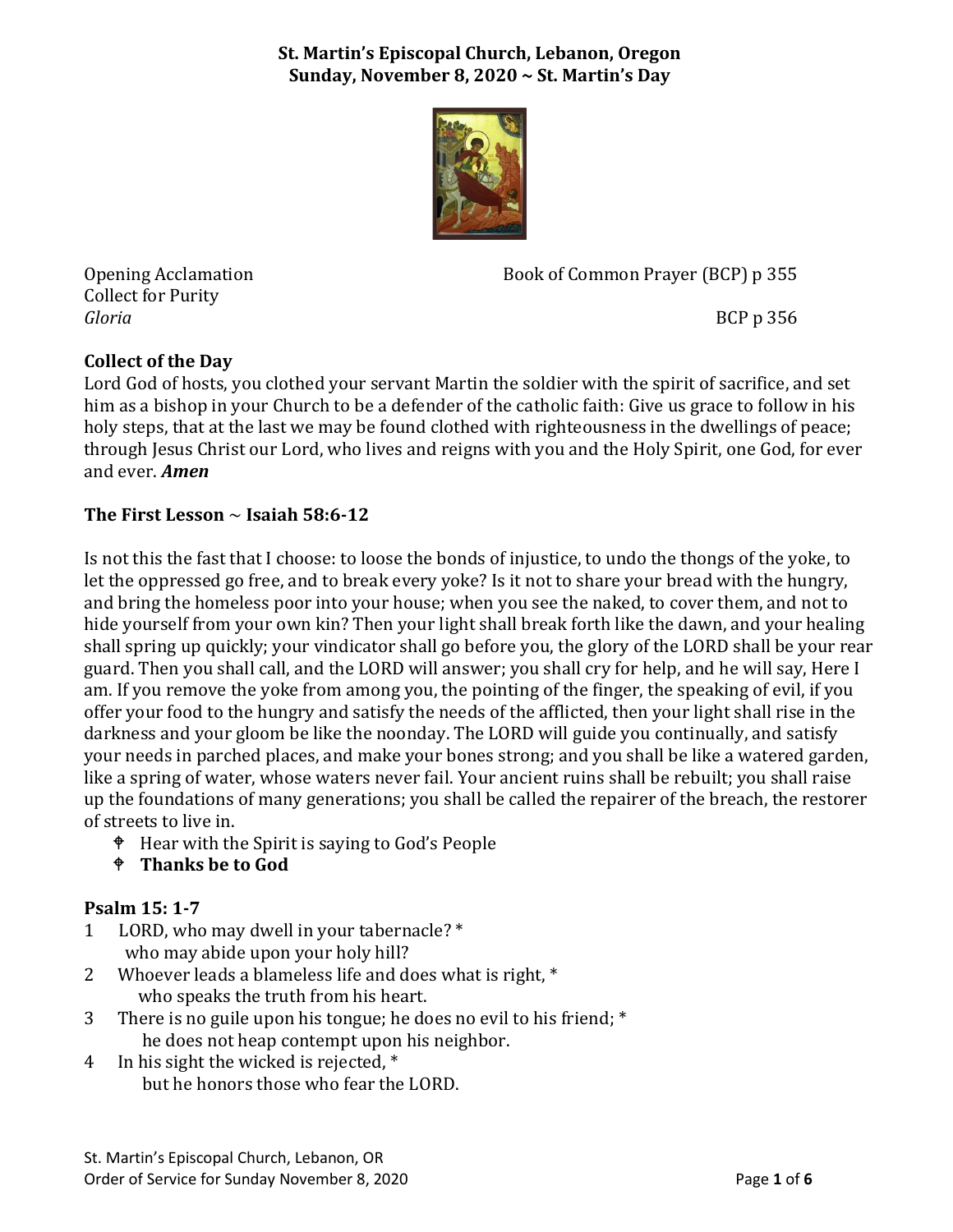**St. Martin's Episcopal Church, Lebanon, Oregon Sunday, November 8, 2020 ~ St. Martin's Day**



Collect for Purity *Gloria* BCP p 356

Opening Acclamation Book of Common Prayer (BCP) p 355

## **Collect of the Day**

Lord God of hosts, you clothed your servant Martin the soldier with the spirit of sacrifice, and set him as a bishop in your Church to be a defender of the catholic faith: Give us grace to follow in his holy steps, that at the last we may be found clothed with righteousness in the dwellings of peace; through Jesus Christ our Lord, who lives and reigns with you and the Holy Spirit, one God, for ever and ever. *Amen*

## **The First Lesson** ~ **Isaiah 58:6-12**

Is not this the fast that I choose: to loose the bonds of injustice, to undo the thongs of the yoke, to let the oppressed go free, and to break every yoke? Is it not to share your bread with the hungry, and bring the homeless poor into your house; when you see the naked, to cover them, and not to hide yourself from your own kin? Then your light shall break forth like the dawn, and your healing shall spring up quickly; your vindicator shall go before you, the glory of the LORD shall be your rear guard. Then you shall call, and the LORD will answer; you shall cry for help, and he will say, Here I am. If you remove the yoke from among you, the pointing of the finger, the speaking of evil, if you offer your food to the hungry and satisfy the needs of the afflicted, then your light shall rise in the darkness and your gloom be like the noonday. The LORD will guide you continually, and satisfy your needs in parched places, and make your bones strong; and you shall be like a watered garden, like a spring of water, whose waters never fail. Your ancient ruins shall be rebuilt; you shall raise up the foundations of many generations; you shall be called the repairer of the breach, the restorer of streets to live in.

- Hear with the Spirit is saying to God's People
- **Thanks be to God**

## **Psalm 15: 1-7**

- 1 LORD, who may dwell in your tabernacle? \* who may abide upon your holy hill?
- 2 Whoever leads a blameless life and does what is right, \* who speaks the truth from his heart.
- 3 There is no guile upon his tongue; he does no evil to his friend; \* he does not heap contempt upon his neighbor.
- 4 In his sight the wicked is rejected, \* but he honors those who fear the LORD.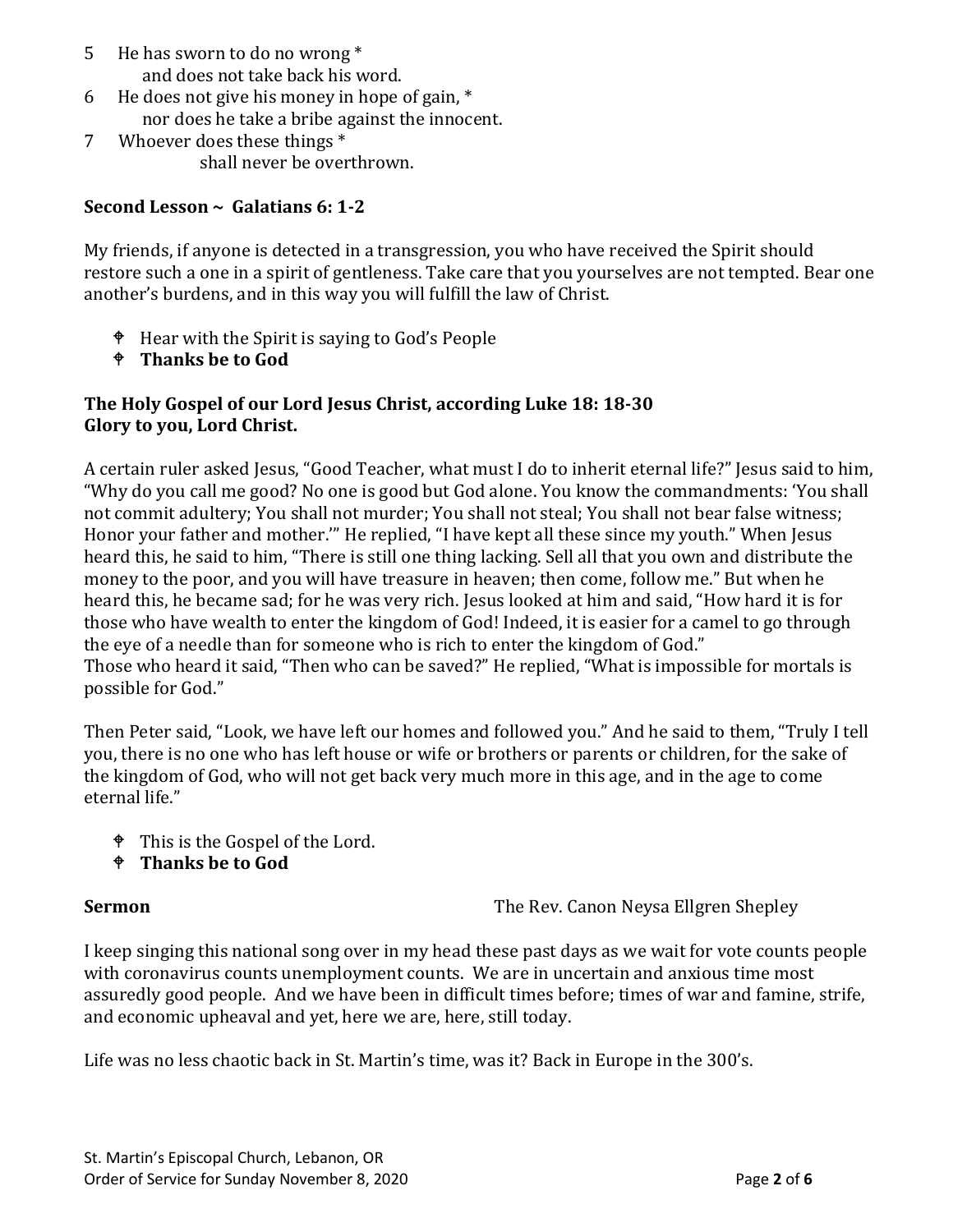- 5 He has sworn to do no wrong \* and does not take back his word.
- 6 He does not give his money in hope of gain, \* nor does he take a bribe against the innocent.
- 7 Whoever does these things \* shall never be overthrown.

# **Second Lesson ~ Galatians 6: 1-2**

My friends, if anyone is detected in a transgression, you who have received the Spirit should restore such a one in a spirit of gentleness. Take care that you yourselves are not tempted. Bear one another's burdens, and in this way you will fulfill the law of Christ.

- $\bullet$  Hear with the Spirit is saying to God's People
- **Thanks be to God**

## **The Holy Gospel of our Lord Jesus Christ, according Luke 18: 18-30 Glory to you, Lord Christ.**

A certain ruler asked Jesus, "Good Teacher, what must I do to inherit eternal life?" Jesus said to him, "Why do you call me good? No one is good but God alone. You know the commandments: 'You shall not commit adultery; You shall not murder; You shall not steal; You shall not bear false witness; Honor your father and mother.'" He replied, "I have kept all these since my youth." When Jesus heard this, he said to him, "There is still one thing lacking. Sell all that you own and distribute the money to the poor, and you will have treasure in heaven; then come, follow me." But when he heard this, he became sad; for he was very rich. Jesus looked at him and said, "How hard it is for those who have wealth to enter the kingdom of God! Indeed, it is easier for a camel to go through the eye of a needle than for someone who is rich to enter the kingdom of God." Those who heard it said, "Then who can be saved?" He replied, "What is impossible for mortals is possible for God."

Then Peter said, "Look, we have left our homes and followed you." And he said to them, "Truly I tell you, there is no one who has left house or wife or brothers or parents or children, for the sake of the kingdom of God, who will not get back very much more in this age, and in the age to come eternal life."

- <sup> $\bullet$ </sup> This is the Gospel of the Lord.
- **Thanks be to God**

**Sermon** The Rev. Canon Neysa Ellgren Shepley

I keep singing this national song over in my head these past days as we wait for vote counts people with coronavirus counts unemployment counts. We are in uncertain and anxious time most assuredly good people. And we have been in difficult times before; times of war and famine, strife, and economic upheaval and yet, here we are, here, still today.

Life was no less chaotic back in St. Martin's time, was it? Back in Europe in the 300's.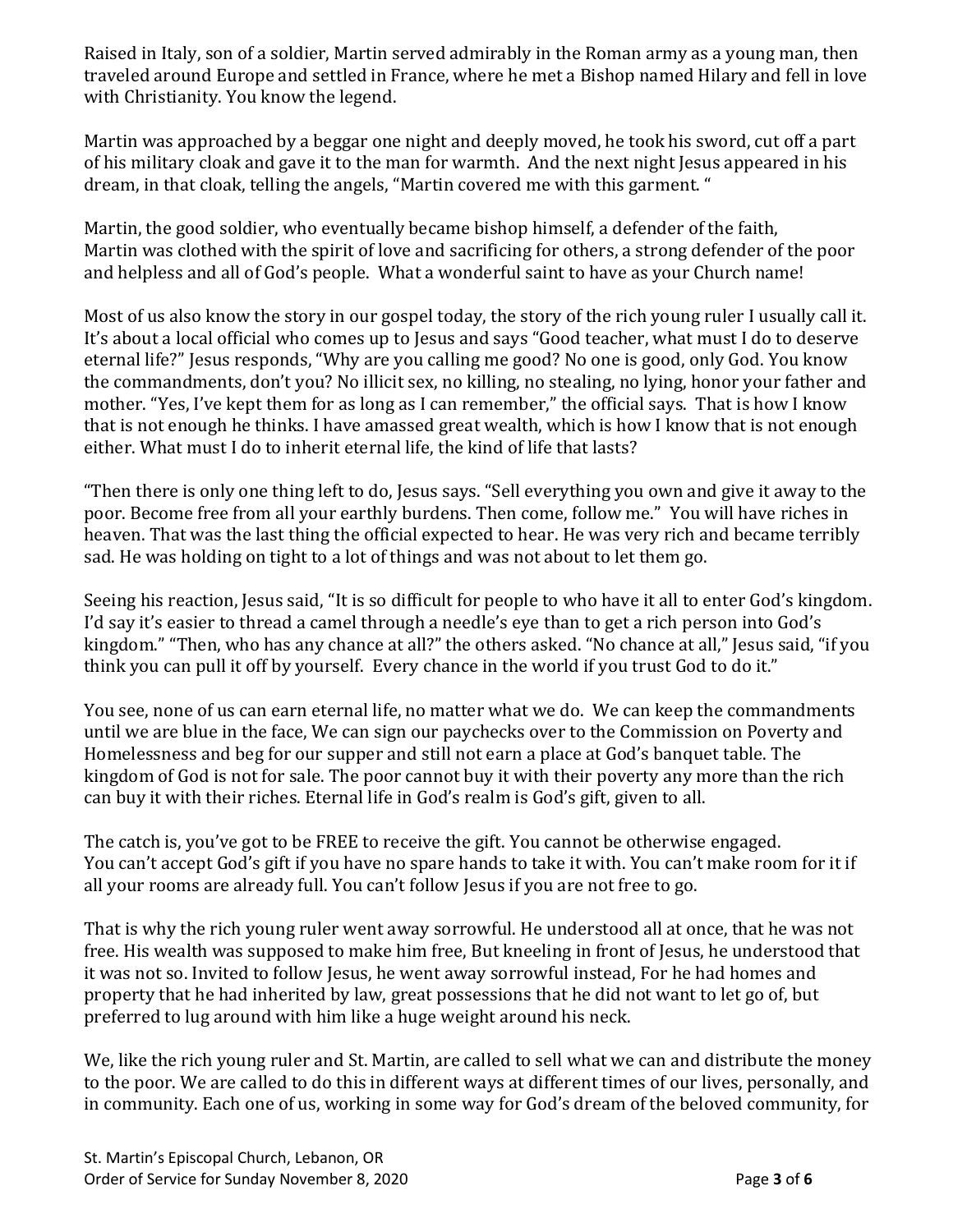Raised in Italy, son of a soldier, Martin served admirably in the Roman army as a young man, then traveled around Europe and settled in France, where he met a Bishop named Hilary and fell in love with Christianity. You know the legend.

Martin was approached by a beggar one night and deeply moved, he took his sword, cut off a part of his military cloak and gave it to the man for warmth. And the next night Jesus appeared in his dream, in that cloak, telling the angels, "Martin covered me with this garment. "

Martin, the good soldier, who eventually became bishop himself, a defender of the faith, Martin was clothed with the spirit of love and sacrificing for others, a strong defender of the poor and helpless and all of God's people. What a wonderful saint to have as your Church name!

Most of us also know the story in our gospel today, the story of the rich young ruler I usually call it. It's about a local official who comes up to Jesus and says "Good teacher, what must I do to deserve eternal life?" Jesus responds, "Why are you calling me good? No one is good, only God. You know the commandments, don't you? No illicit sex, no killing, no stealing, no lying, honor your father and mother. "Yes, I've kept them for as long as I can remember," the official says. That is how I know that is not enough he thinks. I have amassed great wealth, which is how I know that is not enough either. What must I do to inherit eternal life, the kind of life that lasts?

"Then there is only one thing left to do, Jesus says. "Sell everything you own and give it away to the poor. Become free from all your earthly burdens. Then come, follow me." You will have riches in heaven. That was the last thing the official expected to hear. He was very rich and became terribly sad. He was holding on tight to a lot of things and was not about to let them go.

Seeing his reaction, Jesus said, "It is so difficult for people to who have it all to enter God's kingdom. I'd say it's easier to thread a camel through a needle's eye than to get a rich person into God's kingdom." "Then, who has any chance at all?" the others asked. "No chance at all," Jesus said, "if you think you can pull it off by yourself. Every chance in the world if you trust God to do it."

You see, none of us can earn eternal life, no matter what we do. We can keep the commandments until we are blue in the face, We can sign our paychecks over to the Commission on Poverty and Homelessness and beg for our supper and still not earn a place at God's banquet table. The kingdom of God is not for sale. The poor cannot buy it with their poverty any more than the rich can buy it with their riches. Eternal life in God's realm is God's gift, given to all.

The catch is, you've got to be FREE to receive the gift. You cannot be otherwise engaged. You can't accept God's gift if you have no spare hands to take it with. You can't make room for it if all your rooms are already full. You can't follow Jesus if you are not free to go.

That is why the rich young ruler went away sorrowful. He understood all at once, that he was not free. His wealth was supposed to make him free, But kneeling in front of Jesus, he understood that it was not so. Invited to follow Jesus, he went away sorrowful instead, For he had homes and property that he had inherited by law, great possessions that he did not want to let go of, but preferred to lug around with him like a huge weight around his neck.

We, like the rich young ruler and St. Martin, are called to sell what we can and distribute the money to the poor. We are called to do this in different ways at different times of our lives, personally, and in community. Each one of us, working in some way for God's dream of the beloved community, for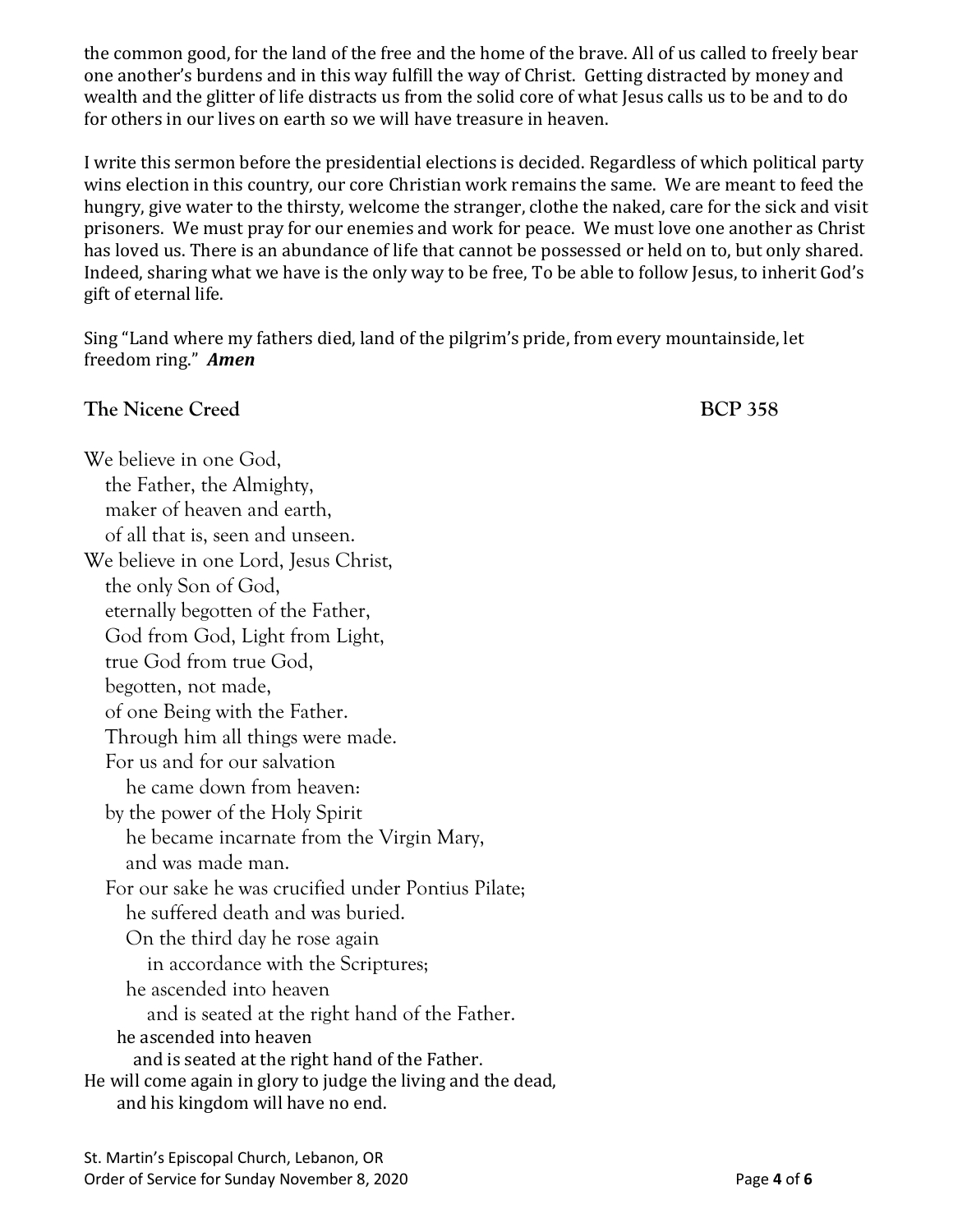the common good, for the land of the free and the home of the brave. All of us called to freely bear one another's burdens and in this way fulfill the way of Christ. Getting distracted by money and wealth and the glitter of life distracts us from the solid core of what Jesus calls us to be and to do for others in our lives on earth so we will have treasure in heaven.

I write this sermon before the presidential elections is decided. Regardless of which political party wins election in this country, our core Christian work remains the same. We are meant to feed the hungry, give water to the thirsty, welcome the stranger, clothe the naked, care for the sick and visit prisoners. We must pray for our enemies and work for peace. We must love one another as Christ has loved us. There is an abundance of life that cannot be possessed or held on to, but only shared. Indeed, sharing what we have is the only way to be free, To be able to follow Jesus, to inherit God's gift of eternal life.

Sing "Land where my fathers died, land of the pilgrim's pride, from every mountainside, let freedom ring." *Amen*

## **The Nicene Creed BCP 358**

| We believe in one God,                                                                             |
|----------------------------------------------------------------------------------------------------|
| the Father, the Almighty,                                                                          |
| maker of heaven and earth,                                                                         |
| of all that is, seen and unseen.                                                                   |
| We believe in one Lord, Jesus Christ,                                                              |
| the only Son of God,                                                                               |
| eternally begotten of the Father,                                                                  |
| God from God, Light from Light,                                                                    |
| true God from true God,                                                                            |
| begotten, not made,                                                                                |
| of one Being with the Father.                                                                      |
| Through him all things were made.                                                                  |
| For us and for our salvation                                                                       |
| he came down from heaven:                                                                          |
| by the power of the Holy Spirit                                                                    |
| he became incarnate from the Virgin Mary,                                                          |
| and was made man.                                                                                  |
| For our sake he was crucified under Pontius Pilate;                                                |
| he suffered death and was buried.                                                                  |
| On the third day he rose again                                                                     |
| in accordance with the Scriptures;                                                                 |
| he ascended into heaven                                                                            |
| and is seated at the right hand of the Father.                                                     |
| he ascended into heaven                                                                            |
| and is seated at the right hand of the Father.                                                     |
| He will come again in glory to judge the living and the dead,<br>and his kingdom will have no end. |
|                                                                                                    |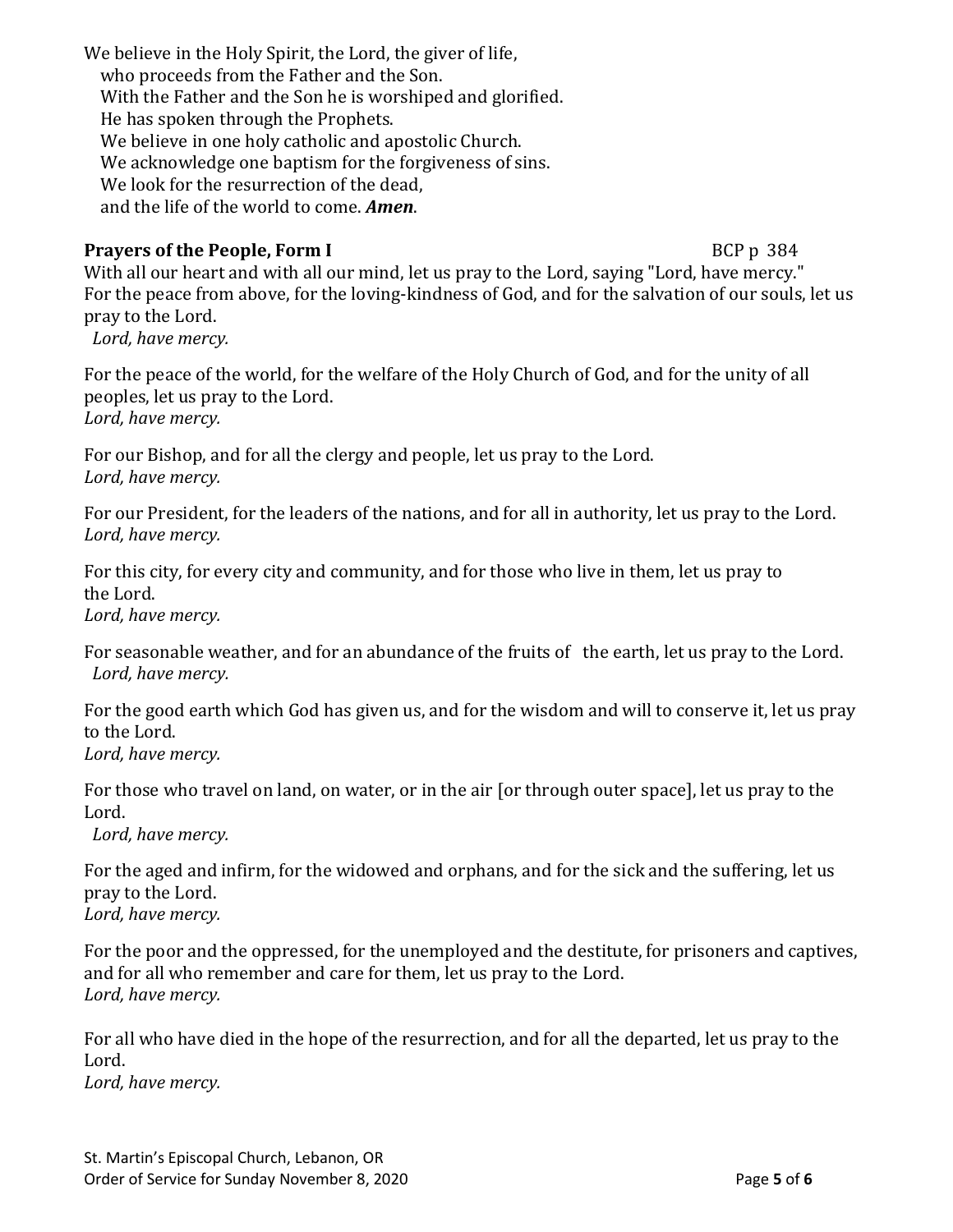We believe in the Holy Spirit, the Lord, the giver of life, who proceeds from the Father and the Son. With the Father and the Son he is worshiped and glorified. He has spoken through the Prophets. We believe in one holy catholic and apostolic Church. We acknowledge one baptism for the forgiveness of sins. We look for the resurrection of the dead, and the life of the world to come. *Amen*.

#### **Prayers of the People, Form I BCP** p 384

With all our heart and with all our mind, let us pray to the Lord, saying "Lord, have mercy." For the peace from above, for the loving-kindness of God, and for the salvation of our souls, let us pray to the Lord.

*Lord, have mercy.*

For the peace of the world, for the welfare of the Holy Church of God, and for the unity of all peoples, let us pray to the Lord. *Lord, have mercy.*

For our Bishop, and for all the clergy and people, let us pray to the Lord. *Lord, have mercy.*

For our President, for the leaders of the nations, and for all in authority, let us pray to the Lord. *Lord, have mercy.*

For this city, for every city and community, and for those who live in them, let us pray to the Lord.

*Lord, have mercy.*

For seasonable weather, and for an abundance of the fruits of the earth, let us pray to the Lord.  *Lord, have mercy.*

For the good earth which God has given us, and for the wisdom and will to conserve it, let us pray to the Lord.

*Lord, have mercy.*

For those who travel on land, on water, or in the air [or through outer space], let us pray to the Lord.

 *Lord, have mercy.*

For the aged and infirm, for the widowed and orphans, and for the sick and the suffering, let us pray to the Lord. *Lord, have mercy.*

For the poor and the oppressed, for the unemployed and the destitute, for prisoners and captives, and for all who remember and care for them, let us pray to the Lord. *Lord, have mercy.*

For all who have died in the hope of the resurrection, and for all the departed, let us pray to the Lord.

*Lord, have mercy.*